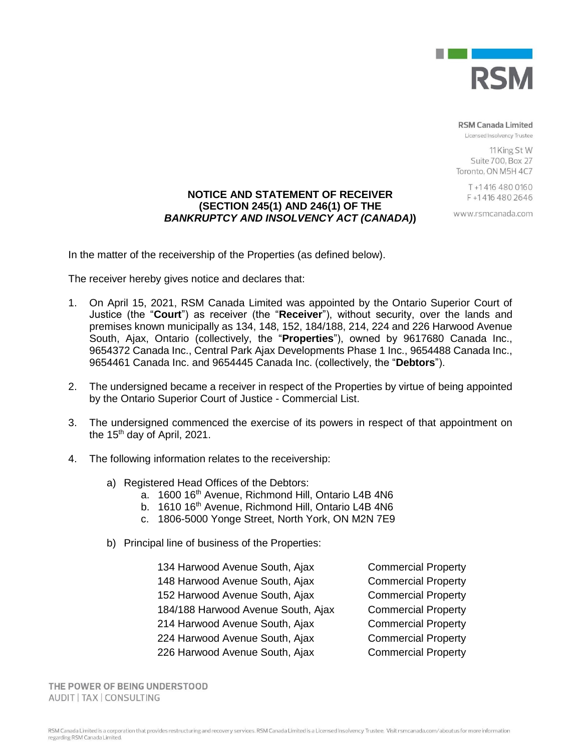

**RSM Canada Limited** 

Licensed Insolvency Trustee

11 King St W Suite 700, Box 27 Toronto, ON M5H 4C7

> T+14164800160 F+14164802646

www.rsmcanada.com

# **NOTICE AND STATEMENT OF RECEIVER (SECTION 245(1) AND 246(1) OF THE**  *BANKRUPTCY AND INSOLVENCY ACT (CANADA)***)**

In the matter of the receivership of the Properties (as defined below).

The receiver hereby gives notice and declares that:

- 1. On April 15, 2021, RSM Canada Limited was appointed by the Ontario Superior Court of Justice (the "**Court**") as receiver (the "**Receiver**"), without security, over the lands and premises known municipally as 134, 148, 152, 184/188, 214, 224 and 226 Harwood Avenue South, Ajax, Ontario (collectively, the "**Properties**"), owned by 9617680 Canada Inc., 9654372 Canada Inc., Central Park Ajax Developments Phase 1 Inc., 9654488 Canada Inc., 9654461 Canada Inc. and 9654445 Canada Inc. (collectively, the "**Debtors**").
- 2. The undersigned became a receiver in respect of the Properties by virtue of being appointed by the Ontario Superior Court of Justice - Commercial List.
- 3. The undersigned commenced the exercise of its powers in respect of that appointment on the 15<sup>th</sup> day of April, 2021.
- 4. The following information relates to the receivership:
	- a) Registered Head Offices of the Debtors:
		- a. 1600 16<sup>th</sup> Avenue, Richmond Hill, Ontario L4B 4N6
		- b. 1610 16<sup>th</sup> Avenue, Richmond Hill, Ontario L4B 4N6
		- c. 1806-5000 Yonge Street, North York, ON M2N 7E9
	- b) Principal line of business of the Properties:

| 134 Harwood Avenue South, Ajax     | <b>Commercial Property</b> |  |
|------------------------------------|----------------------------|--|
| 148 Harwood Avenue South, Ajax     | <b>Commercial Property</b> |  |
| 152 Harwood Avenue South, Ajax     | <b>Commercial Property</b> |  |
| 184/188 Harwood Avenue South, Ajax | <b>Commercial Property</b> |  |
| 214 Harwood Avenue South, Ajax     | <b>Commercial Property</b> |  |
| 224 Harwood Avenue South, Ajax     | <b>Commercial Property</b> |  |
| 226 Harwood Avenue South, Ajax     | <b>Commercial Property</b> |  |
|                                    |                            |  |

THE POWER OF BEING UNDERSTOOD AUDIT | TAX | CONSULTING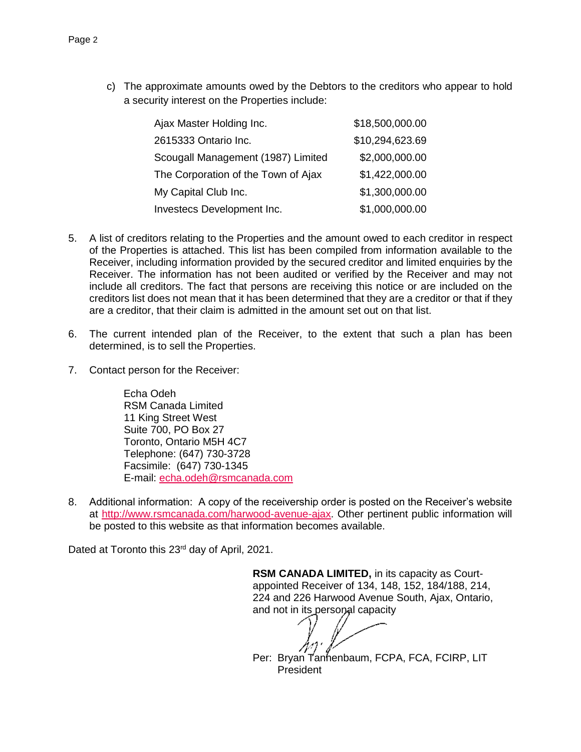c) The approximate amounts owed by the Debtors to the creditors who appear to hold a security interest on the Properties include:

| Ajax Master Holding Inc.            | \$18,500,000.00 |
|-------------------------------------|-----------------|
| 2615333 Ontario Inc.                | \$10,294,623.69 |
| Scougall Management (1987) Limited  | \$2,000,000.00  |
| The Corporation of the Town of Ajax | \$1,422,000.00  |
| My Capital Club Inc.                | \$1,300,000.00  |
| Investecs Development Inc.          | \$1,000,000.00  |

- 5. A list of creditors relating to the Properties and the amount owed to each creditor in respect of the Properties is attached. This list has been compiled from information available to the Receiver, including information provided by the secured creditor and limited enquiries by the Receiver. The information has not been audited or verified by the Receiver and may not include all creditors. The fact that persons are receiving this notice or are included on the creditors list does not mean that it has been determined that they are a creditor or that if they are a creditor, that their claim is admitted in the amount set out on that list.
- 6. The current intended plan of the Receiver, to the extent that such a plan has been determined, is to sell the Properties.
- 7. Contact person for the Receiver:

Echa Odeh RSM Canada Limited 11 King Street West Suite 700, PO Box 27 Toronto, Ontario M5H 4C7 Telephone: (647) 730-3728 Facsimile: (647) 730-1345 E-mail: [echa.odeh@rsmcanada.com](mailto:arif.dhanani@rsmcanada.com)

8. Additional information: A copy of the receivership order is posted on the Receiver's website at [http://www.rsmcanada.com/harwood-avenue-ajax.](http://www.rsmcanada.com/harwood-avenue-ajax) Other pertinent public information will be posted to this website as that information becomes available.

Dated at Toronto this 23<sup>rd</sup> day of April, 2021.

**RSM CANADA LIMITED,** in its capacity as Courtappointed Receiver of 134, 148, 152, 184/188, 214, 224 and 226 Harwood Avenue South, Ajax, Ontario, and not in its personal capacity

Per: Bryan Tanhenbaum, FCPA, FCA, FCIRP, LIT President